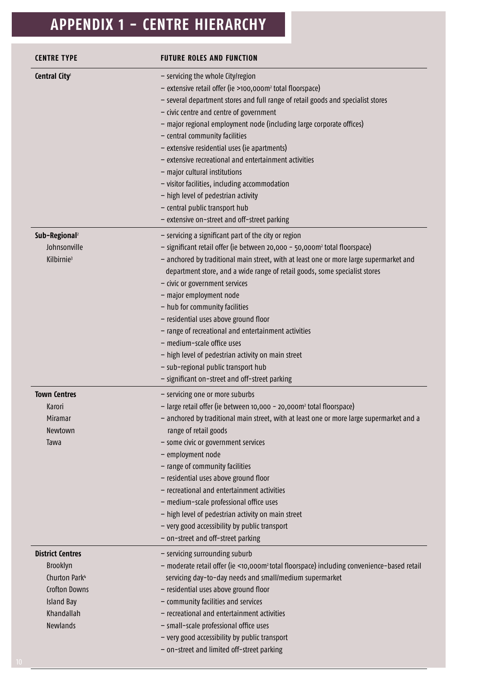# **APPENDIX 1 - CENTRE HIERARCHY**

| <b>CENTRE TYPE</b>                                                                                                                             | <b>FUTURE ROLES AND FUNCTION</b>                                                                                                                                                                                                                                                                                                                                                                                                                                                                                                                                                                                                                                                                    |
|------------------------------------------------------------------------------------------------------------------------------------------------|-----------------------------------------------------------------------------------------------------------------------------------------------------------------------------------------------------------------------------------------------------------------------------------------------------------------------------------------------------------------------------------------------------------------------------------------------------------------------------------------------------------------------------------------------------------------------------------------------------------------------------------------------------------------------------------------------------|
| Central City <sup>1</sup>                                                                                                                      | - servicing the whole City/region<br>- extensive retail offer (ie >100,000m <sup>2</sup> total floorspace)<br>- several department stores and full range of retail goods and specialist stores<br>- civic centre and centre of government<br>- major regional employment node (including large corporate offices)<br>- central community facilities<br>- extensive residential uses (ie apartments)<br>- extensive recreational and entertainment activities<br>- major cultural institutions<br>- visitor facilities, including accommodation<br>- high level of pedestrian activity<br>- central public transport hub<br>- extensive on-street and off-street parking                             |
| Sub-Regional <sup>2</sup><br>Johnsonville<br>Kilbirnie <sup>3</sup>                                                                            | - servicing a significant part of the city or region<br>- significant retail offer (ie between 20,000 - 50,000m <sup>2</sup> total floorspace)<br>- anchored by traditional main street, with at least one or more large supermarket and<br>department store, and a wide range of retail goods, some specialist stores<br>- civic or government services<br>- major employment node<br>- hub for community facilities<br>- residential uses above ground floor<br>- range of recreational and entertainment activities<br>- medium-scale office uses<br>- high level of pedestrian activity on main street<br>- sub-regional public transport hub<br>- significant on-street and off-street parking |
| <b>Town Centres</b><br>Karori<br>Miramar<br>Newtown<br>Tawa                                                                                    | - servicing one or more suburbs<br>- large retail offer (ie between 10,000 - 20,000m <sup>2</sup> total floorspace)<br>- anchored by traditional main street, with at least one or more large supermarket and a<br>range of retail goods<br>- some civic or government services<br>- employment node<br>- range of community facilities<br>- residential uses above ground floor<br>- recreational and entertainment activities<br>- medium-scale professional office uses<br>- high level of pedestrian activity on main street<br>- very good accessibility by public transport<br>- on-street and off-street parking                                                                             |
| <b>District Centres</b><br>Brooklyn<br>Churton Park <sup>4</sup><br><b>Crofton Downs</b><br><b>Island Bay</b><br>Khandallah<br><b>Newlands</b> | - servicing surrounding suburb<br>- moderate retail offer (ie <10,000m <sup>2</sup> total floorspace) including convenience-based retail<br>servicing day-to-day needs and small/medium supermarket<br>- residential uses above ground floor<br>- community facilities and services<br>- recreational and entertainment activities<br>- small-scale professional office uses<br>- very good accessibility by public transport<br>- on-street and limited off-street parking                                                                                                                                                                                                                         |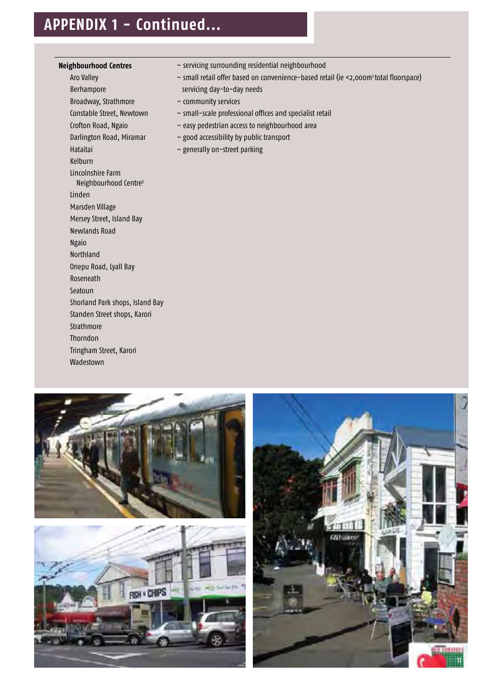## **APPENDIX 1 - Continued...**

### **Neighbourhood Centres**

Aro Valley Berhampore Broadway, Strathmore Constable Street, Newtown Crofton Road, Ngaio Darlington Road, Miramar Hataitai Kelburn Lincolnshire Farm Neighbourhood Centre<sup>5</sup> Linden Marsden Village Mersey Street, Island Bay Newlands Road Ngaio Northland Onepu Road, Lyall Bay Roseneath Seatoun Shorland Park shops, Island Bay Standen Street shops, Karori **Strathmore** Thorndon Tringham Street, Karori

Wadestown

- servicing surrounding residential neighbourhood
- small retail offer based on convenience-based retail (ie <2,000m2 total floorspace) servicing day-to-day needs
- community services
- small-scale professional offices and specialist retail
- easy pedestrian access to neighbourhood area
- good accessibility by public transport
- generally on-street parking